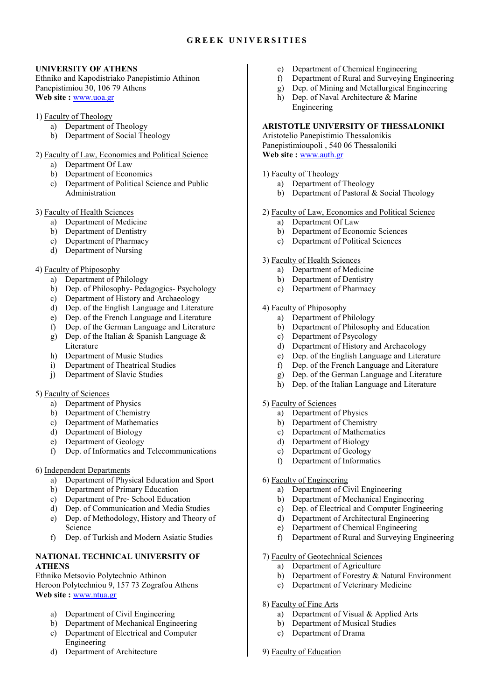## **G R E E K U N I V E R S I T I E S**

# **UNIVERSITY OF ATHENS**

Ethniko and Kapodistriako Panepistimio Athinon Panepistimiou 30, 106 79 Athens **Web site :** www.uoa.gr

- 1) Faculty of Theology
	- a) Department of Theology
	- b) Department of Social Theology
- 2) Faculty of Law, Economics and Political Science
	- a) Department Of Law
	- b) Department of Economics
	- c) Department of Political Science and Public Administration

### 3) Faculty of Health Sciences

- a) Department of Medicine
- b) Department of Dentistry
- c) Department of Pharmacy
- d) Department of Nursing

# 4) Faculty of Phiposophy

- a) Department of Philology
- b) Dep. of Philosophy- Pedagogics- Psychology
- c) Department of History and Archaeology<br>d) Dep. of the English Language and Litera
- Dep. of the English Language and Literature
- e) Dep. of the French Language and Literature<br>
f) Dep. of the German Language and Literature
- Dep. of the German Language and Literature
- g) Dep. of the Italian & Spanish Language  $\&$ Literature
- h) Department of Music Studies
- i) Department of Theatrical Studies
- j) Department of Slavic Studies

# 5) Faculty of Sciences

- a) Department of Physics
- b) Department of Chemistry
- c) Department of Mathematics
- d) Department of Biology
- e) Department of Geology<br>f) Dep. of Informatics and
- f) Dep. of Informatics and Telecommunications

### 6) Independent Departments

- a) Department of Physical Education and Sport
- b) Department of Primary Education
- c) Department of Pre- School Education
- d) Dep. of Communication and Media Studies
- e) Dep. of Methodology, History and Theory of Science
- f) Dep. of Turkish and Modern Asiatic Studies

# **NATIONAL TECHNICAL UNIVERSITY OF ATHENS**

Ethniko Metsovio Polytechnio Athinon Heroon Polytechniou 9, 157 73 Zografou Athens **Web site :** www.ntua.gr

- a) Department of Civil Engineering
- b) Department of Mechanical Engineering
- c) Department of Electrical and Computer Engineering
- d) Department of Architecture
- e) Department of Chemical Engineering
- f) Department of Rural and Surveying Engineering
- g) Dep. of Mining and Metallurgical Engineering
- h) Dep. of Naval Architecture & Marine Engineering

# **ARISTOTLE UNIVERSITY OF THESSALONIKI**

Aristotelio Panepistimio Thessalonikis Panepistimioupoli , 540 06 Thessaloniki **Web site :** www.auth.gr

# 1) Faculty of Theology

- a) Department of Theology
- b) Department of Pastoral & Social Theology

### 2) Faculty of Law, Economics and Political Science

- a) Department Of Law
- b) Department of Economic Sciences
- c) Department of Political Sciences

### 3) Faculty of Health Sciences

- a) Department of Medicine
- b) Department of Dentistry
- c) Department of Pharmacy

# 4) Faculty of Phiposophy

- a) Department of Philology
- b) Department of Philosophy and Education
- c) Department of Psycology
- d) Department of History and Archaeology
- e) Dep. of the English Language and Literature
- f) Dep. of the French Language and Literature
- g) Dep. of the German Language and Literature
- h) Dep. of the Italian Language and Literature

# 5) Faculty of Sciences

- a) Department of Physics
- b) Department of Chemistry
- c) Department of Mathematics
- d) Department of Biology
- e) Department of Geology
- f) Department of Informatics

# 6) Faculty of Engineering

- a) Department of Civil Engineering
- b) Department of Mechanical Engineering
- c) Dep. of Electrical and Computer Engineering
- d) Department of Architectural Engineering
- e) Department of Chemical Engineering
- f) Department of Rural and Surveying Engineering

# 7) Faculty of Geotechnical Sciences

- a) Department of Agriculture
- b) Department of Forestry & Natural Environment
- c) Department of Veterinary Medicine

# 8) Faculty of Fine Arts

- a) Department of Visual & Applied Arts
- b) Department of Musical Studies
- c) Department of Drama

# 9) Faculty of Education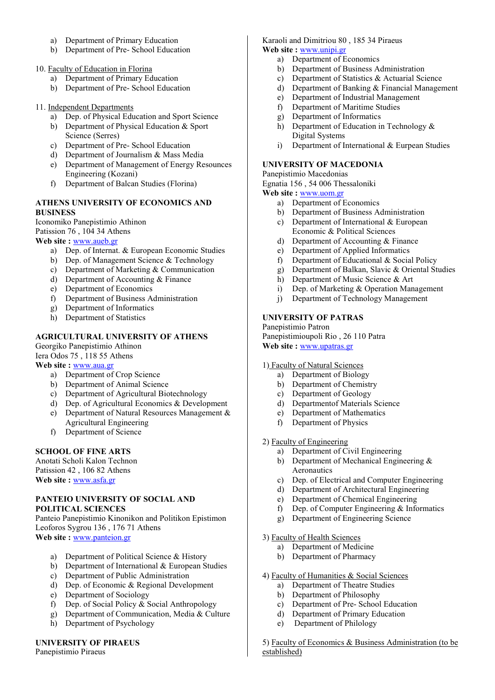- a) Department of Primary Education
- b) Department of Pre- School Education
- 10. Faculty of Education in Florina
	- a) Department of Primary Education
	- b) Department of Pre- School Education

### 11. Independent Departments

- a) Dep. of Physical Education and Sport Science
- b) Department of Physical Education & Sport Science (Serres)
- c) Department of Pre- School Education
- d) Department of Journalism & Mass Media
- e) Department of Management of Energy Resounces Engineering (Kozani)
- f) Department of Balcan Studies (Florina)

# **ATHENS UNIVERSITY OF ECONOMICS AND BUSINESS**

Iconomiko Panepistimio Athinon Patission 76 , 104 34 Athens

**Web site :** www.aueb.gr

- a) Dep. of Internat. & European Economic Studies
- b) Dep. of Management Science & Technology
- c) Department of Marketing & Communication
- d) Department of Accounting & Finance<br>e) Department of Economics
- Department of Economics
- f) Department of Business Administration
- Department of Informatics
- h) Department of Statistics

# **AGRICULTURAL UNIVERSITY OF ATHENS**

Georgiko Panepistimio Athinon

Iera Odos 75 , 118 55 Athens **Web site :** www.aua.gr

- a) Department of Crop Science
- b) Department of Animal Science
- c) Department of Agricultural Biotechnology
- d) Dep. of Agricultural Economics & Development
- e) Department of Natural Resources Management & Agricultural Engineering
- f) Department of Science

# **SCHOOL OF FINE ARTS**

Anotati Scholi Kalon Technon Patission 42 , 106 82 Athens **Web site :** www.asfa.gr

### **PANTEIO UNIVERSITY OF SOCIAL AND POLITICAL SCIENCES**

Panteio Panepistimio Kinonikon and Politikon Epistimon Leoforos Sygrou 136 , 176 71 Athens **Web site :** www.panteion.gr

- a) Department of Political Science & History
- b) Department of International & European Studies
- c) Department of Public Administration
- d) Dep. of Economic & Regional Development
- e) Department of Sociology
- f) Dep. of Social Policy & Social Anthropology
- g) Department of Communication, Media & Culture
- h) Department of Psychology

# **UNIVERSITY OF PIRAEUS**

Panepistimio Piraeus

### Karaoli and Dimitriou 80 , 185 34 Piraeus **Web site :** www.unipi.gr

- a) Department of Economics
- b) Department of Business Administration
- c) Department of Statistics & Actuarial Science
- d) Department of Banking & Financial Management
- e) Department of Industrial Management
- f) Department of Maritime Studies
- g) Department of Informatics
- h) Department of Education in Technology & Digital Systems
- i) Department of International & Eurpean Studies

## **UNIVERSITY OF MACEDONIA**

## Panepistimio Macedonias

Egnatia 156 , 54 006 Thessaloniki **Web site :** www.uom.gr

- a) Department of Economics
- b) Department of Business Administration
- c) Department of International & European Economic & Political Sciences
- d) Department of Accounting & Finance
- e) Department of Applied Informatics
- f) Department of Educational & Social Policy
- g) Department of Balkan, Slavic & Oriental Studies
- h) Department of Music Science & Art
- i) Dep. of Marketing & Operation Management
- j) Department of Technology Management

# **UNIVERSITY OF PATRAS**

Panepistimio Patron Panepistimioupoli Rio , 26 110 Patra **Web site :** www.upatras.gr

# 1) Faculty of Natural Sciences

- a) Department of Biology
- b) Department of Chemistry
- c) Department of Geology
- d) Departmentof Materials Science
- e) Department of Mathematics
- f) Department of Physics

# 2) Faculty of Engineering

- a) Department of Civil Engineering
- b) Department of Mechanical Engineering & Aeronautics
- c) Dep. of Electrical and Computer Engineering
- d) Department of Architectural Engineering
- e) Department of Chemical Engineering
- f) Dep. of Computer Engineering & Informatics
- g) Department of Engineering Science
- 3) Faculty of Health Sciences
	- a) Department of Medicine
	- b) Department of Pharmacy
- 4) Faculty of Humanities & Social Sciences
	- a) Department of Theatre Studies
	- b) Department of Philosophy
	- c) Department of Pre- School Education
	- d) Department of Primary Education
	- e) Department of Philology

5) Faculty of Economics & Business Administration (to be established)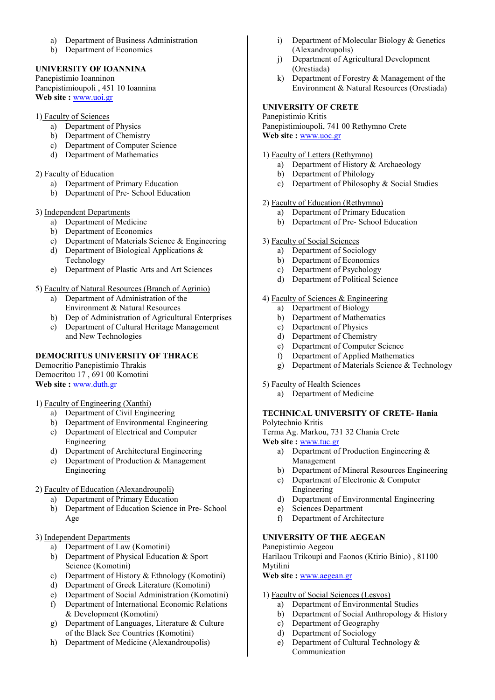- a) Department of Business Administration
- b) Department of Economics

# **UNIVERSITY OF IOANNINA**

Panepistimio Ioanninon Panepistimioupoli , 451 10 Ioannina **Web site :** www.uoi.gr

## 1) Faculty of Sciences

- a) Department of Physics
- b) Department of Chemistry
- c) Department of Computer Science
- d) Department of Mathematics

# 2) Faculty of Education

- a) Department of Primary Education
- b) Department of Pre- School Education

### 3) Independent Departments

- a) Department of Medicine
- b) Department of Economics
- c) Department of Materials Science & Engineering
- d) Department of Biological Applications & Technology
- e) Department of Plastic Arts and Art Sciences

# 5) Faculty of Natural Resources (Branch of Agrinio)

- a) Department of Administration of the Environment & Natural Resources
- b) Dep of Administration of Agricultural Enterprises
- c) Department of Cultural Heritage Management and New Technologies

# **DEMOCRITUS UNIVERSITY OF THRACE**

Democritio Panepistimio Thrakis Democritou 17 , 691 00 Komotini **Web site :** www.duth.gr

# 1) Faculty of Engineering (Xanthi)

- a) Department of Civil Engineering
- b) Department of Environmental Engineering
- c) Department of Electrical and Computer Engineering
- d) Department of Architectural Engineering
- e) Department of Production & Management Engineering
- 2) Faculty of Education (Alexandroupoli)
	- a) Department of Primary Education
	- b) Department of Education Science in Pre- School Age

# 3) Independent Departments

- a) Department of Law (Komotini)
- b) Department of Physical Education & Sport Science (Komotini)
- c) Department of History & Ethnology (Komotini)
- d) Department of Greek Literature (Komotini)
- e) Department of Social Administration (Komotini)
- f) Department of International Economic Relations & Development (Komotini)
- g) Department of Languages, Literature & Culture of the Black See Countries (Komotini)
- h) Department of Medicine (Alexandroupolis)
- i) Department of Molecular Biology & Genetics (Alexandroupolis)
- j) Department of Agricultural Development (Orestiada)
- k) Department of Forestry & Management of the Environment & Natural Resources (Orestiada)

# **UNIVERSITY OF CRETE**

Panepistimio Kritis Panepistimioupoli, 741 00 Rethymno Crete **Web site :** www.uoc.gr

### 1) Faculty of Letters (Rethymno)

- a) Department of History & Archaeology
- b) Department of Philology
- c) Department of Philosophy & Social Studies

# 2) Faculty of Education (Rethymno)

- a) Department of Primary Education
- b) Department of Pre- School Education

# 3) Faculty of Social Sciences

- a) Department of Sociology
- b) Department of Economics
- c) Department of Psychology
- d) Department of Political Science

### 4) Faculty of Sciences & Engineering

- a) Department of Biology
- b) Department of Mathematics
- c) Department of Physics
- d) Department of Chemistry
- e) Department of Computer Science
- f) Department of Applied Mathematics
- g) Department of Materials Science & Technology

# 5) Faculty of Health Sciences

a) Department of Medicine

### **TECHNICAL UNIVERSITY OF CRETE- Hania**  Polytechnio Kritis

Terma Ag. Markou, 731 32 Chania Crete

**Web site :** www.tuc.gr

- a) Department of Production Engineering & Management
- b) Department of Mineral Resources Engineering
- c) Department of Electronic & Computer Engineering
- d) Department of Environmental Engineering
- e) Sciences Department
- f) Department of Architecture

# **UNIVERSITY OF THE AEGEAN**

Panepistimio Aegeou Harilaou Trikoupi and Faonos (Ktirio Binio) , 81100 Mytilini

**Web site :** www.aegean.gr

### 1) Faculty of Social Sciences (Lesvos)

- a) Department of Environmental Studies
- b) Department of Social Anthropology & History
- c) Department of Geography
- d) Department of Sociology
- e) Department of Cultural Technology & Communication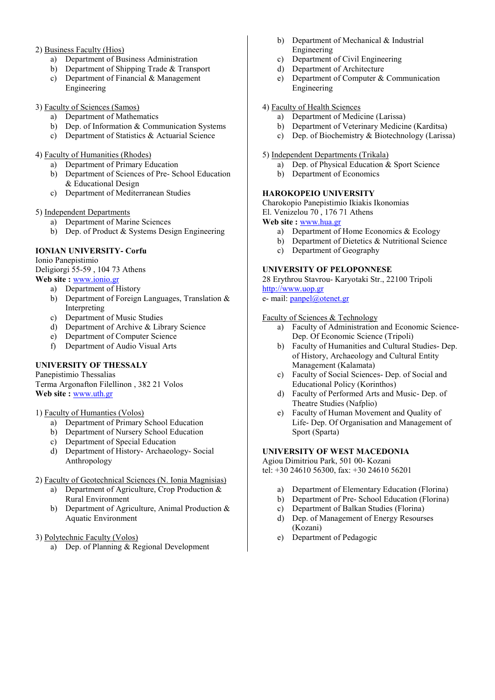# 2) Business Faculty (Hios)

- a) Department of Business Administration
- b) Department of Shipping Trade & Transport
- c) Department of Financial & Management
- Engineering

# 3) Faculty of Sciences (Samos)

- a) Department of Mathematics
- b) Dep. of Information & Communication Systems
- c) Department of Statistics & Actuarial Science

# 4) Faculty of Humanities (Rhodes)

- a) Department of Primary Education
- b) Department of Sciences of Pre- School Education & Educational Design
- c) Department of Mediterranean Studies

# 5) Independent Departments

- a) Department of Marine Sciences
- b) Dep. of Product & Systems Design Engineering

# **IONIAN UNIVERSITY- Corfu**

Ionio Panepistimio Deligiorgi 55-59 , 104 73 Athens **Web site :** www.ionio.gr

- a) Department of History
- b) Department of Foreign Languages, Translation & Interpreting
- c) Department of Music Studies
- d) Department of Archive & Library Science
- e) Department of Computer Science
- f) Department of Audio Visual Arts

# **UNIVERSITY OF THESSALY**

Panepistimio Thessalias Terma Argonafton Filellinon , 382 21 Volos **Web site :** www.uth.gr

# 1) Faculty of Humanties (Volos)

- a) Department of Primary School Education
- b) Department of Nursery School Education
- c) Department of Special Education
- d) Department of History- Archaeology- Social Anthropology
- 2) Faculty of Geotechnical Sciences (N. Ionia Magnisias)
	- a) Department of Agriculture, Crop Production & Rural Environment
	- b) Department of Agriculture, Animal Production & Aquatic Environment
- 3) Polytechnic Faculty (Volos)
	- a) Dep. of Planning & Regional Development
- b) Department of Mechanical & Industrial Engineering
- c) Department of Civil Engineering
- d) Department of Architecture
- e) Department of Computer & Communication Engineering

# 4) Faculty of Health Sciences

- a) Department of Medicine (Larissa)
- b) Department of Veterinary Medicine (Karditsa)<br>c) Dep. of Biochemistry & Biotechnology (Lariss
- Dep. of Biochemistry & Biotechnology (Larissa)

## 5) Independent Departments (Trikala)

- a) Dep. of Physical Education & Sport Science
- b) Department of Economics

# **HAROKOPEIO UNIVERSITY**

Charokopio Panepistimio Ikiakis Ikonomias El. Venizelou 70 , 176 71 Athens **Web site :** www.hua.gr

- a) Department of Home Economics & Ecology
- b) Department of Dietetics & Nutritional Science
- c) Department of Geography

# **UNIVERSITY OF PELOPONNESE**

28 Erythrou Stavrou- Karyotaki Str., 22100 Tripoli http://www.uop.gr

e- mail: panpel@otenet.gr

# Faculty of Sciences & Technology

- a) Faculty of Administration and Economic Science-Dep. Of Economic Science (Tripoli)
- b) Faculty of Humanities and Cultural Studies- Dep. οf History, Archaeology and Cultural Entity Management (Kalamata)
- c) Faculty of Social Sciences- Dep. οf Social and Educational Policy (Korinthos)
- d) Faculty of Performed Arts and Music- Dep. οf Theatre Studies (Nafplio)
- e) Faculty of Human Movement and Quality of Life- Dep. Of Organisation and Management of Sport (Sparta)

# **UNIVERSITY OF WEST MACEDONIA**

Agiou Dimitriou Park, 501 00- Kozani tel: +30 24610 56300, fax: +30 24610 56201

- a) Department of Elementary Education (Florina)
- b) Department of Pre- School Education (Florina)
- c) Department of Balkan Studies (Florina)
- d) Dep. of Management of Energy Resourses (Kozani)
- e) Department of Pedagogic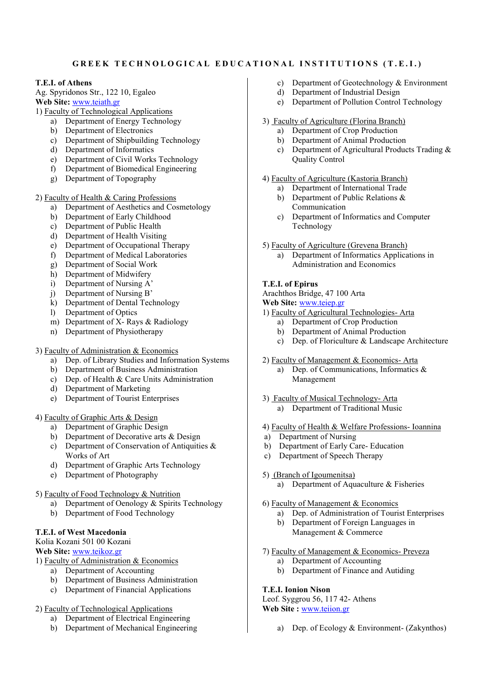# **GREEK TECHNOLOGICAL EDUCATIONAL INSTITUTIONS (T.E.I.)**

### **T.E.I. of Athens**

Ag. Spyridonos Str., 122 10, Egaleo **Web Site:** www.teiath.gr

- 1) Faculty of Technological Applications
	- a) Department of Energy Technology
		- b) Department of Electronics
		- c) Department of Shipbuilding Technology
		- d) Department of Informatics
		- e) Department of Civil Works Technology<br>
		f) Department of Biomedical Engineering
		- Department of Biomedical Engineering
		- g) Department of Topography

### 2) Faculty of Health & Caring Professions

- a) Department of Aesthetics and Cosmetology
- b) Department of Early Childhood
- c) Department of Public Health
- d) Department of Health Visiting
- e) Department of Occupational Therapy
- f) Department of Medical Laboratories
- 
- g) Department of Social Work<br>h) Department of Midwifery Department of Midwifery
- i) Department of Nursing A'
- j) Department of Nursing B'
- k) Department of Dental Technology<br>
1) Department of Optics
- Department of Optics
- m) Department of X- Rays & Radiology
- n) Department of Physiotherapy

# 3) Faculty of Administration & Economics<br>a) Dep. of Library Studies and Inform

- Dep. of Library Studies and Information Systems
- b) Department of Business Administration
- c) Dep. of Health & Care Units Administration
- d) Department of Marketing
- e) Department of Tourist Enterprises

### 4) Faculty of Graphic Arts & Design

- a) Department of Graphic Design
- b) Department of Decorative arts & Design
- c) Department of Conservation of Antiquities & Works of Art
- d) Department of Graphic Arts Technology
- e) Department of Photography

# 5) Faculty of Food Technology & Nutrition

- a) Department of Oenology & Spirits Technology
- b) Department of Food Technology

# **T.E.I. of West Macedonia**

Kolia Kozani 501 00 Kozani

**Web Site:** www.teikoz.gr

- 1) Faculty of Administration & Economics
	- a) Department of Accounting
	- b) Department of Business Administration
	- c) Department of Financial Applications

### 2) Faculty of Technological Applications

- a) Department of Electrical Engineering
- b) Department of Mechanical Engineering
- c) Department of Geotechnology & Environment
- d) Department of Industrial Design
- e) Department of Pollution Control Technology
- 3) Faculty of Agriculture (Florina Branch)
	- a) Department of Crop Production
	- b) Department of Animal Production
	- c) Department of Agricultural Products Trading & Quality Control

# 4) Faculty of Agriculture (Kastoria Branch)

- a) Department of International Trade
	- b) Department of Public Relations & Communication
	- c) Department of Informatics and Computer Technology
- 5) Faculty of Agriculture (Grevena Branch)
	- a) Department of Informatics Applications in Administration and Economics

### **T.E.I. of Epirus**

Arachthos Bridge, 47 100 Arta

**Web Site:** www.teiep.gr

- 1) Faculty of Agricultural Technologies- Arta
	- a) Department of Crop Production
	- b) Department of Animal Production
	- c) Dep. of Floriculture & Landscape Architecture
- 2) Faculty of Management & Economics- Arta
	- a) Dep. of Communications, Informatics & Management
- 3) Faculty of Musical Technology- Arta
	- a) Department of Traditional Music
- 4) Faculty of Health & Welfare Professions- Ioannina
- a) Department of Nursing
- b) Department of Early Care- Education
- c) Department of Speech Therapy
- 5) (Branch of Igoumenitsa)
	- a) Department of Aquaculture & Fisheries

### 6) Faculty of Management & Economics

- a) Dep. of Administration of Tourist Enterprises
- b) Department of Foreign Languages in Management & Commerce

# 7) Faculty of Management & Economics- Preveza

- a) Department of Accounting
- b) Department of Finance and Autiding

# **T.E.I. Ionion Nison**

Leof. Syggrou 56, 117 42- Athens **Web Site :** www.teiion.gr

a) Dep. of Ecology & Environment- (Zakynthos)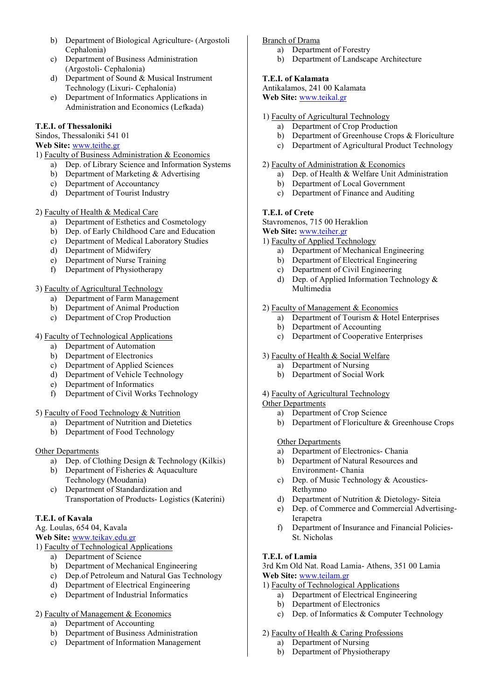- b) Department of Biological Agriculture- (Argostoli Cephalonia)
- c) Department of Business Administration (Argostoli- Cephalonia)
- d) Department of Sound & Musical Instrument Technology (Lixuri- Cephalonia)
- e) Department of Informatics Applications in Administration and Economics (Lefkada)

# **T.E.I. of Thessaloniki**

Sindos, Thessaloniki 541 01

# **Web Site:** www.teithe.gr

1) Faculty of Business Administration & Economics

- a) Dep. of Library Science and Information Systems
- b) Department of Marketing & Advertising
- c) Department of Accountancy
- d) Department of Tourist Industry

# 2) Faculty of Health & Medical Care

- a) Department of Esthetics and Cosmetology
- b) Dep. of Early Childhood Care and Education
- c) Department of Medical Laboratory Studies
- 
- d) Department of Midwifery<br>e) Department of Nurse Trai Department of Nurse Training
- f) Department of Physiotherapy

# 3) Faculty of Agricultural Technology

- a) Department of Farm Management
- b) Department of Animal Production
- c) Department of Crop Production

# 4) Faculty of Technological Applications

- a) Department of Automation
- b) Department of Electronics
- c) Department of Applied Sciences
- d) Department of Vehicle Technology
- e) Department of Informatics
- f) Department of Civil Works Technology

# 5) Faculty of Food Technology & Nutrition

- a) Department of Nutrition and Dietetics
- b) Department of Food Technology

# **Other Departments**

- a) Dep. of Clothing Design & Technology (Kilkis)
- b) Department of Fisheries & Aquaculture Technology (Moudania)
- c) Department of Standardization and Transportation of Products- Logistics (Katerini)

# **T.E.I. of Kavala**

Ag. Loulas, 654 04, Kavala

**Web Site:** www.teikav.edu.gr

```
1) Faculty of Technological Applications
```
- a) Department of Science
- b) Department of Mechanical Engineering
- c) Dep.of Petroleum and Natural Gas Technology
- d) Department of Electrical Engineering
- e) Department of Industrial Informatics
- 2) Faculty of Management & Economics
	- a) Department of Accounting
	- b) Department of Business Administration
	- c) Department of Information Management

### Branch of Drama

- a) Department of Forestry
- b) Department of Landscape Architecture

# **T.E.I. of Kalamata**

Antikalamos, 241 00 Kalamata **Web Site:** www.teikal.gr

# 1) Faculty of Agricultural Technology

- a) Department of Crop Production
- b) Department of Greenhouse Crops & Floriculture
- c) Department of Agricultural Product Technology

## 2) Faculty of Administration & Economics

- a) Dep. of Health & Welfare Unit Administration
- b) Department of Local Government
- c) Department of Finance and Auditing

# **T.E.I. of Crete**

Stavromenos, 715 00 Heraklion

# **Web Site:** www.teiher.gr

- 1) Faculty of Applied Technology
	- a) Department of Mechanical Engineering
	- b) Department of Electrical Engineering
	- c) Department of Civil Engineering
	- d) Dep. of Applied Information Technology & Multimedia

# 2) Faculty of Management & Economics

- a) Department of Tourism & Hotel Enterprises
- b) Department of Accounting
- c) Department of Cooperative Enterprises

# 3) Faculty of Health & Social Welfare

- a) Department of Nursing
- b) Department of Social Work

# 4) Faculty of Agricultural Technology

### Other Departments

- a) Department of Crop Science
- b) Department of Floriculture & Greenhouse Crops

# Other Departments

- a) Department of Electronics- Chania
- b) Department of Natural Resources and Environment- Chania
- c) Dep. of Music Technology & Acoustics-Rethymno
- d) Department of Nutrition & Dietology- Siteia
- e) Dep. of Commerce and Commercial Advertising-Ierapetra
- f) Department of Insurance and Financial Policies-St. Nicholas

# **T.E.I. of Lamia**

3rd Km Old Nat. Road Lamia- Athens, 351 00 Lamia **Web Site:** www.teilam.gr

- 1) Faculty of Technological Applications
	- a) Department of Electrical Engineering
	- b) Department of Electronics
	- c) Dep. of Informatics & Computer Technology
- 2) Faculty of Health & Caring Professions
	- a) Department of Nursing
	- b) Department of Physiotherapy